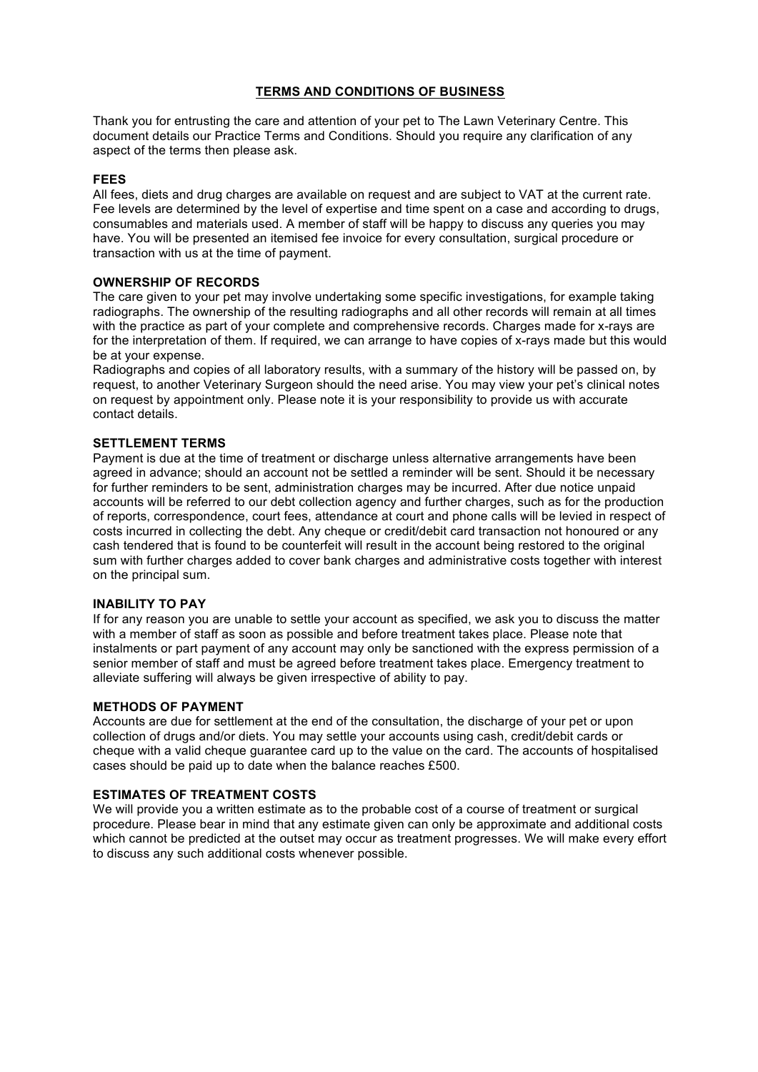# **TERMS AND CONDITIONS OF BUSINESS**

Thank you for entrusting the care and attention of your pet to The Lawn Veterinary Centre. This document details our Practice Terms and Conditions. Should you require any clarification of any aspect of the terms then please ask.

#### **FEES**

All fees, diets and drug charges are available on request and are subject to VAT at the current rate. Fee levels are determined by the level of expertise and time spent on a case and according to drugs, consumables and materials used. A member of staff will be happy to discuss any queries you may have. You will be presented an itemised fee invoice for every consultation, surgical procedure or transaction with us at the time of payment.

#### **OWNERSHIP OF RECORDS**

The care given to your pet may involve undertaking some specific investigations, for example taking radiographs. The ownership of the resulting radiographs and all other records will remain at all times with the practice as part of your complete and comprehensive records. Charges made for x-rays are for the interpretation of them. If required, we can arrange to have copies of x-rays made but this would be at your expense.

Radiographs and copies of all laboratory results, with a summary of the history will be passed on, by request, to another Veterinary Surgeon should the need arise. You may view your pet's clinical notes on request by appointment only. Please note it is your responsibility to provide us with accurate contact details.

# **SETTLEMENT TERMS**

Payment is due at the time of treatment or discharge unless alternative arrangements have been agreed in advance; should an account not be settled a reminder will be sent. Should it be necessary for further reminders to be sent, administration charges may be incurred. After due notice unpaid accounts will be referred to our debt collection agency and further charges, such as for the production of reports, correspondence, court fees, attendance at court and phone calls will be levied in respect of costs incurred in collecting the debt. Any cheque or credit/debit card transaction not honoured or any cash tendered that is found to be counterfeit will result in the account being restored to the original sum with further charges added to cover bank charges and administrative costs together with interest on the principal sum.

#### **INABILITY TO PAY**

If for any reason you are unable to settle your account as specified, we ask you to discuss the matter with a member of staff as soon as possible and before treatment takes place. Please note that instalments or part payment of any account may only be sanctioned with the express permission of a senior member of staff and must be agreed before treatment takes place. Emergency treatment to alleviate suffering will always be given irrespective of ability to pay.

#### **METHODS OF PAYMENT**

Accounts are due for settlement at the end of the consultation, the discharge of your pet or upon collection of drugs and/or diets. You may settle your accounts using cash, credit/debit cards or cheque with a valid cheque guarantee card up to the value on the card. The accounts of hospitalised cases should be paid up to date when the balance reaches £500.

#### **ESTIMATES OF TREATMENT COSTS**

We will provide you a written estimate as to the probable cost of a course of treatment or surgical procedure. Please bear in mind that any estimate given can only be approximate and additional costs which cannot be predicted at the outset may occur as treatment progresses. We will make every effort to discuss any such additional costs whenever possible.